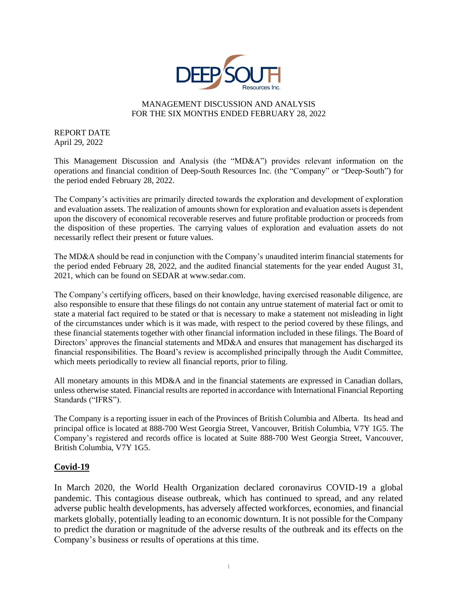

## MANAGEMENT DISCUSSION AND ANALYSIS FOR THE SIX MONTHS ENDED FEBRUARY 28, 2022

REPORT DATE April 29, 2022

This Management Discussion and Analysis (the "MD&A") provides relevant information on the operations and financial condition of Deep-South Resources Inc. (the "Company" or "Deep-South") for the period ended February 28, 2022.

The Company's activities are primarily directed towards the exploration and development of exploration and evaluation assets. The realization of amounts shown for exploration and evaluation assets is dependent upon the discovery of economical recoverable reserves and future profitable production or proceeds from the disposition of these properties. The carrying values of exploration and evaluation assets do not necessarily reflect their present or future values.

The MD&A should be read in conjunction with the Company's unaudited interim financial statements for the period ended February 28, 2022, and the audited financial statements for the year ended August 31, 2021, which can be found on SEDAR at www.sedar.com.

The Company's certifying officers, based on their knowledge, having exercised reasonable diligence, are also responsible to ensure that these filings do not contain any untrue statement of material fact or omit to state a material fact required to be stated or that is necessary to make a statement not misleading in light of the circumstances under which is it was made, with respect to the period covered by these filings, and these financial statements together with other financial information included in these filings. The Board of Directors' approves the financial statements and MD&A and ensures that management has discharged its financial responsibilities. The Board's review is accomplished principally through the Audit Committee, which meets periodically to review all financial reports, prior to filing.

All monetary amounts in this MD&A and in the financial statements are expressed in Canadian dollars, unless otherwise stated. Financial results are reported in accordance with International Financial Reporting Standards ("IFRS").

The Company is a reporting issuer in each of the Provinces of British Columbia and Alberta. Its head and principal office is located at 888-700 West Georgia Street, Vancouver, British Columbia, V7Y 1G5. The Company's registered and records office is located at Suite 888-700 West Georgia Street, Vancouver, British Columbia, V7Y 1G5.

# **Covid-19**

In March 2020, the World Health Organization declared coronavirus COVID-19 a global pandemic. This contagious disease outbreak, which has continued to spread, and any related adverse public health developments, has adversely affected workforces, economies, and financial markets globally, potentially leading to an economic downturn. It is not possible for the Company to predict the duration or magnitude of the adverse results of the outbreak and its effects on the Company's business or results of operations at this time.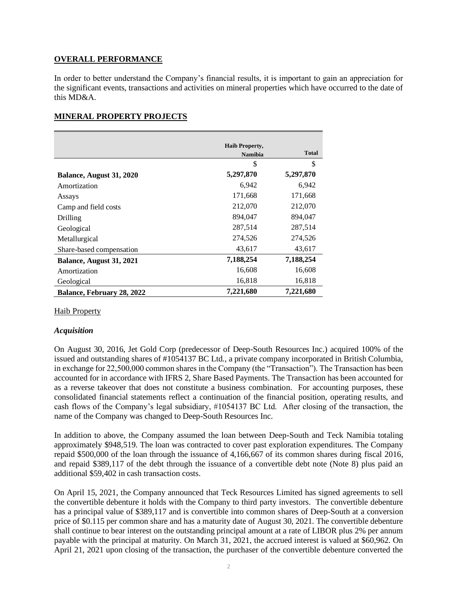## **OVERALL PERFORMANCE**

In order to better understand the Company's financial results, it is important to gain an appreciation for the significant events, transactions and activities on mineral properties which have occurred to the date of this MD&A.

## **MINERAL PROPERTY PROJECTS**

|                            | <b>Haib Property,</b> |              |
|----------------------------|-----------------------|--------------|
|                            | <b>Namibia</b>        | <b>Total</b> |
|                            | \$                    | \$           |
| Balance, August 31, 2020   | 5,297,870             | 5,297,870    |
| Amortization               | 6,942                 | 6,942        |
| Assays                     | 171,668               | 171,668      |
| Camp and field costs       | 212,070               | 212,070      |
| Drilling                   | 894.047               | 894.047      |
| Geological                 | 287,514               | 287,514      |
| Metallurgical              | 274,526               | 274,526      |
| Share-based compensation   | 43,617                | 43,617       |
| Balance, August 31, 2021   | 7,188,254             | 7,188,254    |
| Amortization               | 16,608                | 16,608       |
| Geological                 | 16,818                | 16,818       |
| Balance, February 28, 2022 | 7,221,680             | 7,221,680    |

## Haib Property

## *Acquisition*

On August 30, 2016, Jet Gold Corp (predecessor of Deep-South Resources Inc.) acquired 100% of the issued and outstanding shares of #1054137 BC Ltd., a private company incorporated in British Columbia, in exchange for 22,500,000 common shares in the Company (the "Transaction"). The Transaction has been accounted for in accordance with IFRS 2, Share Based Payments. The Transaction has been accounted for as a reverse takeover that does not constitute a business combination. For accounting purposes, these consolidated financial statements reflect a continuation of the financial position, operating results, and cash flows of the Company's legal subsidiary, #1054137 BC Ltd. After closing of the transaction, the name of the Company was changed to Deep-South Resources Inc.

In addition to above, the Company assumed the loan between Deep-South and Teck Namibia totaling approximately \$948,519. The loan was contracted to cover past exploration expenditures. The Company repaid \$500,000 of the loan through the issuance of 4,166,667 of its common shares during fiscal 2016, and repaid \$389,117 of the debt through the issuance of a convertible debt note (Note 8) plus paid an additional \$59,402 in cash transaction costs.

On April 15, 2021, the Company announced that Teck Resources Limited has signed agreements to sell the convertible debenture it holds with the Company to third party investors. The convertible debenture has a principal value of \$389,117 and is convertible into common shares of Deep-South at a conversion price of \$0.115 per common share and has a maturity date of August 30, 2021. The convertible debenture shall continue to bear interest on the outstanding principal amount at a rate of LIBOR plus 2% per annum payable with the principal at maturity. On March 31, 2021, the accrued interest is valued at \$60,962. On April 21, 2021 upon closing of the transaction, the purchaser of the convertible debenture converted the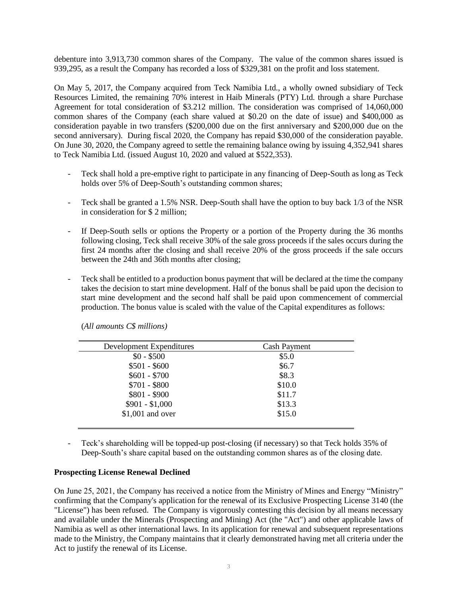debenture into 3,913,730 common shares of the Company. The value of the common shares issued is 939,295, as a result the Company has recorded a loss of \$329,381 on the profit and loss statement.

On May 5, 2017, the Company acquired from Teck Namibia Ltd., a wholly owned subsidiary of Teck Resources Limited, the remaining 70% interest in Haib Minerals (PTY) Ltd. through a share Purchase Agreement for total consideration of \$3.212 million. The consideration was comprised of 14,060,000 common shares of the Company (each share valued at \$0.20 on the date of issue) and \$400,000 as consideration payable in two transfers (\$200,000 due on the first anniversary and \$200,000 due on the second anniversary). During fiscal 2020, the Company has repaid \$30,000 of the consideration payable. On June 30, 2020, the Company agreed to settle the remaining balance owing by issuing 4,352,941 shares to Teck Namibia Ltd. (issued August 10, 2020 and valued at \$522,353).

- Teck shall hold a pre-emptive right to participate in any financing of Deep-South as long as Teck holds over 5% of Deep-South's outstanding common shares;
- Teck shall be granted a 1.5% NSR. Deep-South shall have the option to buy back 1/3 of the NSR in consideration for \$ 2 million;
- If Deep-South sells or options the Property or a portion of the Property during the 36 months following closing, Teck shall receive 30% of the sale gross proceeds if the sales occurs during the first 24 months after the closing and shall receive 20% of the gross proceeds if the sale occurs between the 24th and 36th months after closing;
- Teck shall be entitled to a production bonus payment that will be declared at the time the company takes the decision to start mine development. Half of the bonus shall be paid upon the decision to start mine development and the second half shall be paid upon commencement of commercial production. The bonus value is scaled with the value of the Capital expenditures as follows:

| Development Expenditures | <b>Cash Payment</b> |
|--------------------------|---------------------|
| $$0 - $500$              | \$5.0               |
| $$501 - $600$            | \$6.7               |
| $$601 - $700$            | \$8.3               |
| $$701 - $800$            | \$10.0              |
| $$801 - $900$            | \$11.7              |
| $$901 - $1,000$          | \$13.3              |
| $$1,001$ and over        | \$15.0              |

(*All amounts C\$ millions)*

- Teck's shareholding will be topped-up post-closing (if necessary) so that Teck holds 35% of Deep-South's share capital based on the outstanding common shares as of the closing date.

#### **Prospecting License Renewal Declined**

On June 25, 2021, the Company has received a notice from the Ministry of Mines and Energy "Ministry" confirming that the Company's application for the renewal of its Exclusive Prospecting License 3140 (the "License") has been refused. The Company is vigorously contesting this decision by all means necessary and available under the Minerals (Prospecting and Mining) Act (the "Act") and other applicable laws of Namibia as well as other international laws. In its application for renewal and subsequent representations made to the Ministry, the Company maintains that it clearly demonstrated having met all criteria under the Act to justify the renewal of its License.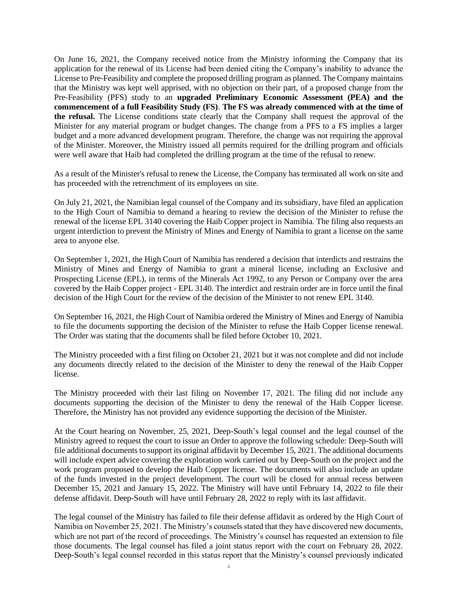On June 16, 2021, the Company received notice from the Ministry informing the Company that its application for the renewal of its License had been denied citing the Company's inability to advance the License to Pre-Feasibility and complete the proposed drilling program as planned. The Company maintains that the Ministry was kept well apprised, with no objection on their part, of a proposed change from the Pre-Feasibility (PFS) study to an **upgraded Preliminary Economic Assessment (PEA) and the commencement of a full Feasibility Study (FS)**. **The FS was already commenced with at the time of the refusal.** The License conditions state clearly that the Company shall request the approval of the Minister for any material program or budget changes. The change from a PFS to a FS implies a larger budget and a more advanced development program. Therefore, the change was not requiring the approval of the Minister. Moreover, the Ministry issued all permits required for the drilling program and officials were well aware that Haib had completed the drilling program at the time of the refusal to renew.

As a result of the Minister's refusal to renew the License, the Company has terminated all work on site and has proceeded with the retrenchment of its employees on site.

On July 21, 2021, the Namibian legal counsel of the Company and its subsidiary, have filed an application to the High Court of Namibia to demand a hearing to review the decision of the Minister to refuse the renewal of the license EPL 3140 covering the Haib Copper project in Namibia. The filing also requests an urgent interdiction to prevent the Ministry of Mines and Energy of Namibia to grant a license on the same area to anyone else.

On September 1, 2021, the High Court of Namibia has rendered a decision that interdicts and restrains the Ministry of Mines and Energy of Namibia to grant a mineral license, including an Exclusive and Prospecting License (EPL), in terms of the Minerals Act 1992, to any Person or Company over the area covered by the Haib Copper project - EPL 3140. The interdict and restrain order are in force until the final decision of the High Court for the review of the decision of the Minister to not renew EPL 3140.

On September 16, 2021, the High Court of Namibia ordered the Ministry of Mines and Energy of Namibia to file the documents supporting the decision of the Minister to refuse the Haib Copper license renewal. The Order was stating that the documents shall be filed before October 10, 2021.

The Ministry proceeded with a first filing on October 21, 2021 but it was not complete and did not include any documents directly related to the decision of the Minister to deny the renewal of the Haib Copper license.

The Ministry proceeded with their last filing on November 17, 2021. The filing did not include any documents supporting the decision of the Minister to deny the renewal of the Haib Copper license. Therefore, the Ministry has not provided any evidence supporting the decision of the Minister.

At the Court hearing on November, 25, 2021, Deep-South's legal counsel and the legal counsel of the Ministry agreed to request the court to issue an Order to approve the following schedule: Deep-South will file additional documents to support its original affidavit by December 15, 2021. The additional documents will include expert advice covering the exploration work carried out by Deep-South on the project and the work program proposed to develop the Haib Copper license. The documents will also include an update of the funds invested in the project development. The court will be closed for annual recess between December 15, 2021 and January 15, 2022. The Ministry will have until February 14, 2022 to file their defense affidavit. Deep-South will have until February 28, 2022 to reply with its last affidavit.

The legal counsel of the Ministry has failed to file their defense affidavit as ordered by the High Court of Namibia on November 25, 2021. The Ministry's counsels stated that they have discovered new documents, which are not part of the record of proceedings. The Ministry's counsel has requested an extension to file those documents. The legal counsel has filed a joint status report with the court on February 28, 2022. Deep-South's legal counsel recorded in this status report that the Ministry's counsel previously indicated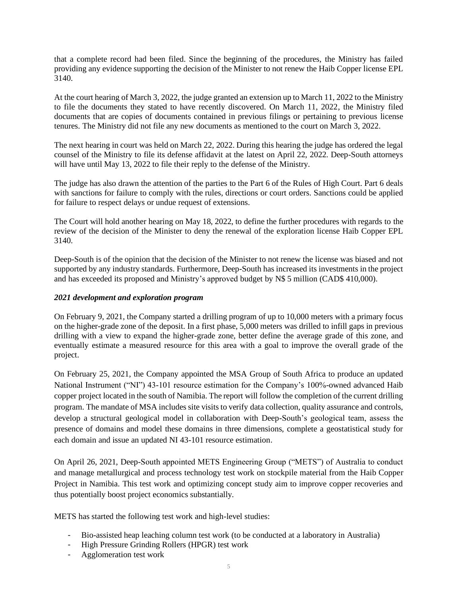that a complete record had been filed. Since the beginning of the procedures, the Ministry has failed providing any evidence supporting the decision of the Minister to not renew the Haib Copper license EPL 3140.

At the court hearing of March 3, 2022, the judge granted an extension up to March 11, 2022 to the Ministry to file the documents they stated to have recently discovered. On March 11, 2022, the Ministry filed documents that are copies of documents contained in previous filings or pertaining to previous license tenures. The Ministry did not file any new documents as mentioned to the court on March 3, 2022.

The next hearing in court was held on March 22, 2022. During this hearing the judge has ordered the legal counsel of the Ministry to file its defense affidavit at the latest on April 22, 2022. Deep-South attorneys will have until May 13, 2022 to file their reply to the defense of the Ministry.

The judge has also drawn the attention of the parties to the Part 6 of the Rules of High Court. Part 6 deals with sanctions for failure to comply with the rules, directions or court orders. Sanctions could be applied for failure to respect delays or undue request of extensions.

The Court will hold another hearing on May 18, 2022, to define the further procedures with regards to the review of the decision of the Minister to deny the renewal of the exploration license Haib Copper EPL 3140.

Deep-South is of the opinion that the decision of the Minister to not renew the license was biased and not supported by any industry standards. Furthermore, Deep-South has increased its investments in the project and has exceeded its proposed and Ministry's approved budget by N\$ 5 million (CAD\$ 410,000).

## *2021 development and exploration program*

On February 9, 2021, the Company started a drilling program of up to 10,000 meters with a primary focus on the higher-grade zone of the deposit. In a first phase, 5,000 meters was drilled to infill gaps in previous drilling with a view to expand the higher-grade zone, better define the average grade of this zone, and eventually estimate a measured resource for this area with a goal to improve the overall grade of the project.

On February 25, 2021, the Company appointed the MSA Group of South Africa to produce an updated National Instrument ("NI") 43-101 resource estimation for the Company's 100%-owned advanced Haib copper project located in the south of Namibia. The report will follow the completion of the current drilling program. The mandate of MSA includes site visits to verify data collection, quality assurance and controls, develop a structural geological model in collaboration with Deep-South's geological team, assess the presence of domains and model these domains in three dimensions, complete a geostatistical study for each domain and issue an updated NI 43-101 resource estimation.

On April 26, 2021, Deep-South appointed METS Engineering Group ("METS") of Australia to conduct and manage metallurgical and process technology test work on stockpile material from the Haib Copper Project in Namibia. This test work and optimizing concept study aim to improve copper recoveries and thus potentially boost project economics substantially.

METS has started the following test work and high-level studies:

- Bio-assisted heap leaching column test work (to be conducted at a laboratory in Australia)
- High Pressure Grinding Rollers (HPGR) test work
- Agglomeration test work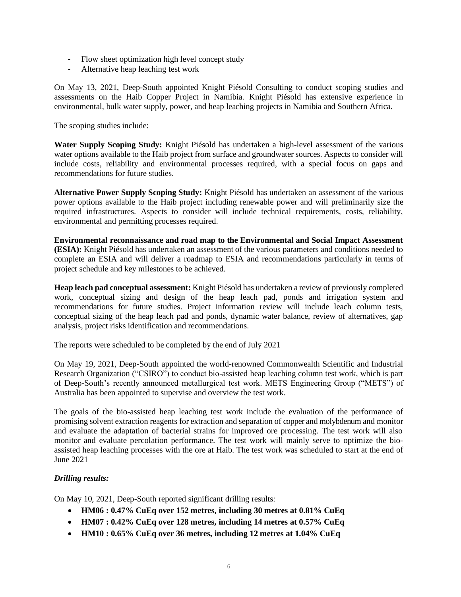- Flow sheet optimization high level concept study
- Alternative heap leaching test work

On May 13, 2021, Deep-South appointed Knight Piésold Consulting to conduct scoping studies and assessments on the Haib Copper Project in Namibia. Knight Piésold has extensive experience in environmental, bulk water supply, power, and heap leaching projects in Namibia and Southern Africa.

The scoping studies include:

**Water Supply Scoping Study:** Knight Piésold has undertaken a high-level assessment of the various water options available to the Haib project from surface and groundwater sources. Aspects to consider will include costs, reliability and environmental processes required, with a special focus on gaps and recommendations for future studies.

**Alternative Power Supply Scoping Study:** Knight Piésold has undertaken an assessment of the various power options available to the Haib project including renewable power and will preliminarily size the required infrastructures. Aspects to consider will include technical requirements, costs, reliability, environmental and permitting processes required.

**Environmental reconnaissance and road map to the Environmental and Social Impact Assessment (ESIA):** Knight Piésold has undertaken an assessment of the various parameters and conditions needed to complete an ESIA and will deliver a roadmap to ESIA and recommendations particularly in terms of project schedule and key milestones to be achieved.

**Heap leach pad conceptual assessment:** Knight Piésold has undertaken a review of previously completed work, conceptual sizing and design of the heap leach pad, ponds and irrigation system and recommendations for future studies. Project information review will include leach column tests, conceptual sizing of the heap leach pad and ponds, dynamic water balance, review of alternatives, gap analysis, project risks identification and recommendations.

The reports were scheduled to be completed by the end of July 2021

On May 19, 2021, Deep-South appointed the world-renowned Commonwealth Scientific and Industrial Research Organization ("CSIRO") to conduct bio-assisted heap leaching column test work, which is part of Deep-South's recently announced metallurgical test work. METS Engineering Group ("METS") of Australia has been appointed to supervise and overview the test work.

The goals of the bio-assisted heap leaching test work include the evaluation of the performance of promising solvent extraction reagents for extraction and separation of copper and molybdenum and monitor and evaluate the adaptation of bacterial strains for improved ore processing. The test work will also monitor and evaluate percolation performance. The test work will mainly serve to optimize the bioassisted heap leaching processes with the ore at Haib. The test work was scheduled to start at the end of June 2021

# *Drilling results:*

On May 10, 2021, Deep-South reported significant drilling results:

- **HM06 : 0.47% CuEq over 152 metres, including 30 metres at 0.81% CuEq**
- **HM07 : 0.42% CuEq over 128 metres, including 14 metres at 0.57% CuEq**
- **HM10 : 0.65% CuEq over 36 metres, including 12 metres at 1.04% CuEq**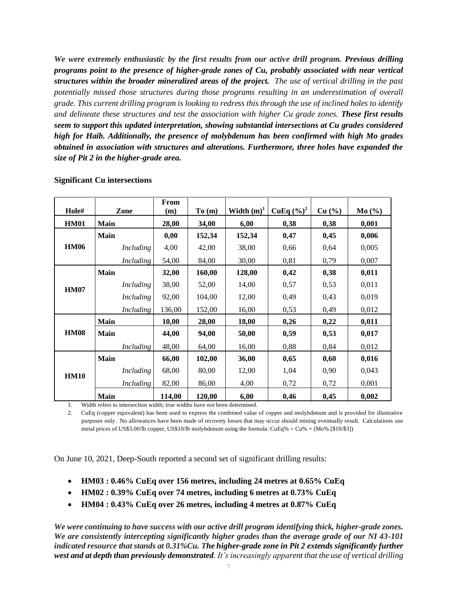*We were extremely enthusiastic by the first results from our active drill program. Previous drilling programs point to the presence of higher-grade zones of Cu, probably associated with near vertical structures within the broader mineralized areas of the project. The use of vertical drilling in the past potentially missed those structures during those programs resulting in an underestimation of overall grade. This current drilling program is looking to redress this through the use of inclined holes to identify and delineate these structures and test the association with higher Cu grade zones. These first results seem to support this updated interpretation, showing substantial intersections at Cu grades considered high for Haib. Additionally, the presence of molybdenum has been confirmed with high Mo grades obtained in association with structures and alterations. Furthermore, three holes have expanded the size of Pit 2 in the higher-grade area.*

| Hole#       | Zone             | From<br>(m) | To(m)  | Width $(m)^1$ | <b>CuEq</b> $(\frac{9}{6})^2$ | Cu (%) | Mo(%) |
|-------------|------------------|-------------|--------|---------------|-------------------------------|--------|-------|
| <b>HM01</b> | Main             | 28,00       | 34,00  | 6,00          | 0,38                          | 0,38   | 0,001 |
|             | <b>Main</b>      | 0,00        | 152,34 | 152,34        | 0,47                          | 0,45   | 0,006 |
| <b>HM06</b> | <b>Including</b> | 4,00        | 42,00  | 38,00         | 0,66                          | 0,64   | 0,005 |
|             | Including        | 54,00       | 84,00  | 30,00         | 0,81                          | 0,79   | 0,007 |
|             | <b>Main</b>      | 32,00       | 160,00 | 128,00        | 0,42                          | 0,38   | 0,011 |
| <b>HM07</b> | Including        | 38,00       | 52,00  | 14,00         | 0,57                          | 0,53   | 0,011 |
|             | Including        | 92,00       | 104,00 | 12,00         | 0,49                          | 0,43   | 0,019 |
|             | Including        | 136,00      | 152,00 | 16,00         | 0,53                          | 0,49   | 0,012 |
|             | <b>Main</b>      | 10,00       | 28,00  | 18,00         | 0,26                          | 0,22   | 0,011 |
| <b>HM08</b> | <b>Main</b>      | 44,00       | 94,00  | 50,00         | 0,59                          | 0,53   | 0,017 |
|             | Including        | 48,00       | 64,00  | 16,00         | 0,88                          | 0,84   | 0,012 |
|             | <b>Main</b>      | 66,00       | 102,00 | 36,00         | 0,65                          | 0,60   | 0,016 |
| <b>HM10</b> | Including        | 68,00       | 80,00  | 12,00         | 1,04                          | 0,90   | 0,043 |
|             | <i>Including</i> | 82,00       | 86,00  | 4,00          | 0,72                          | 0,72   | 0,001 |
|             | <b>Main</b>      | 114,00      | 120,00 | 6,00          | 0,46                          | 0,45   | 0,002 |

#### **Significant Cu intersections**

1. Width refers to intersection width; true widths have not been determined.

2. CuEq (copper equivalent) has been used to express the combined value of copper and molybdenum and is provided for illustrative purposes only. No allowances have been made of recovery losses that may occur should mining eventually result. Calculations use metal prices of US\$3.00/lb copper, US\$10/lb molybdenum using the formula: CuEq% = Cu% + (Mo% [\$10/\$3])

On June 10, 2021, Deep-South reported a second set of significant drilling results:

- **HM03 : 0.46% CuEq over 156 metres, including 24 metres at 0.65% CuEq**
- **HM02 : 0.39% CuEq over 74 metres, including 6 metres at 0.73% CuEq**
- **HM04 : 0.43% CuEq over 26 metres, including 4 metres at 0.87% CuEq**

*We were continuing to have success with our active drill program identifying thick, higher-grade zones. We are consistently intercepting significantly higher grades than the average grade of our NI 43-101 indicated resource that stands at 0.31%Cu. The higher-grade zone in Pit 2 extends significantly further west and at depth than previously demonstrated. It's increasingly apparent that the use of vertical drilling*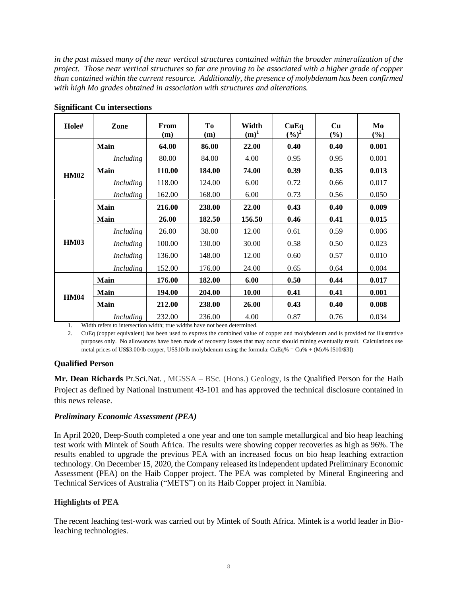*in the past missed many of the near vertical structures contained within the broader mineralization of the project. Those near vertical structures so far are proving to be associated with a higher grade of copper than contained within the current resource. Additionally, the presence of molybdenum has been confirmed with high Mo grades obtained in association with structures and alterations.*

| Hole#       | Zone             | From<br>(m) | <b>To</b><br>(m) | Width<br>$(m)^1$ | CuEq<br>$(\frac{6}{6})^2$ | Cu<br>(%) | Mo<br>(%) |
|-------------|------------------|-------------|------------------|------------------|---------------------------|-----------|-----------|
|             | Main             | 64.00       | 86.00            | 22.00            | 0.40                      | 0.40      | 0.001     |
|             | Including        | 80.00       | 84.00            | 4.00             | 0.95                      | 0.95      | 0.001     |
| <b>HM02</b> | <b>Main</b>      | 110.00      | 184.00           | 74.00            | 0.39                      | 0.35      | 0.013     |
|             | <b>Including</b> | 118.00      | 124.00           | 6.00             | 0.72                      | 0.66      | 0.017     |
|             | <b>Including</b> | 162.00      | 168.00           | 6.00             | 0.73                      | 0.56      | 0.050     |
|             | Main             | 216.00      | 238.00           | 22.00            | 0.43                      | 0.40      | 0.009     |
|             | <b>Main</b>      | 26.00       | 182.50           | 156.50           | 0.46                      | 0.41      | 0.015     |
|             | <i>Including</i> | 26.00       | 38.00            | 12.00            | 0.61                      | 0.59      | 0.006     |
| <b>HM03</b> | <i>Including</i> | 100.00      | 130.00           | 30.00            | 0.58                      | 0.50      | 0.023     |
|             | Including        | 136.00      | 148.00           | 12.00            | 0.60                      | 0.57      | 0.010     |
|             | <i>Including</i> | 152.00      | 176.00           | 24.00            | 0.65                      | 0.64      | 0.004     |
|             | Main             | 176.00      | 182.00           | 6.00             | 0.50                      | 0.44      | 0.017     |
| <b>HM04</b> | Main             | 194.00      | 204.00           | 10.00            | 0.41                      | 0.41      | 0.001     |
|             | <b>Main</b>      | 212.00      | 238.00           | 26.00            | 0.43                      | 0.40      | 0.008     |
|             | <i>Including</i> | 232.00      | 236.00           | 4.00             | 0.87                      | 0.76      | 0.034     |

#### **Significant Cu intersections**

1. Width refers to intersection width; true widths have not been determined.

2. CuEq (copper equivalent) has been used to express the combined value of copper and molybdenum and is provided for illustrativ e purposes only. No allowances have been made of recovery losses that may occur should mining eventually result. Calculations use metal prices of US\$3.00/lb copper, US\$10/lb molybdenum using the formula: CuEq% = Cu% + (Mo% [\$10/\$3])

## **Qualified Person**

**Mr. Dean Richards** Pr.Sci.Nat. , MGSSA – BSc. (Hons.) Geology, is the Qualified Person for the Haib Project as defined by National Instrument 43-101 and has approved the technical disclosure contained in this news release.

#### *Preliminary Economic Assessment (PEA)*

In April 2020, Deep-South completed a one year and one ton sample metallurgical and bio heap leaching test work with Mintek of South Africa. The results were showing copper recoveries as high as 96%. The results enabled to upgrade the previous PEA with an increased focus on bio heap leaching extraction technology. On December 15, 2020, the Company released its independent updated Preliminary Economic Assessment (PEA) on the Haib Copper project. The PEA was completed by Mineral Engineering and Technical Services of Australia ("METS") on its Haib Copper project in Namibia.

## **Highlights of PEA**

The recent leaching test-work was carried out by Mintek of South Africa. Mintek is a world leader in Bioleaching technologies.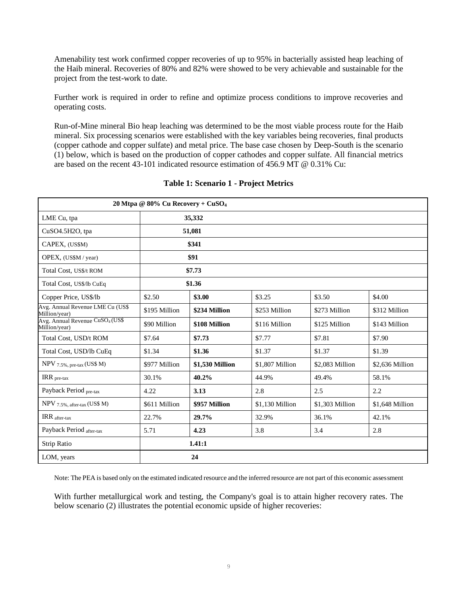Amenability test work confirmed copper recoveries of up to 95% in bacterially assisted heap leaching of the Haib mineral. Recoveries of 80% and 82% were showed to be very achievable and sustainable for the project from the test-work to date.

Further work is required in order to refine and optimize process conditions to improve recoveries and operating costs.

Run-of-Mine mineral Bio heap leaching was determined to be the most viable process route for the Haib mineral. Six processing scenarios were established with the key variables being recoveries, final products (copper cathode and copper sulfate) and metal price. The base case chosen by Deep-South is the scenario (1) below, which is based on the production of copper cathodes and copper sulfate. All financial metrics are based on the recent 43-101 indicated resource estimation of 456.9 MT @ 0.31% Cu:

| 20 Mtpa @ 80% Cu Recovery + CuSO <sub>4</sub>                 |               |                 |                 |                 |                 |  |  |
|---------------------------------------------------------------|---------------|-----------------|-----------------|-----------------|-----------------|--|--|
| LME Cu, tpa                                                   |               | 35,332          |                 |                 |                 |  |  |
| CuSO4.5H2O, tpa                                               |               | 51,081          |                 |                 |                 |  |  |
| CAPEX, (US\$M)                                                |               | \$341           |                 |                 |                 |  |  |
| OPEX, (US\$M / year)                                          |               | \$91            |                 |                 |                 |  |  |
| Total Cost, US\$/t ROM                                        |               | \$7.73          |                 |                 |                 |  |  |
| Total Cost, US\$/lb CuEq                                      |               | \$1.36          |                 |                 |                 |  |  |
| Copper Price, US\$/lb                                         | \$2.50        | \$3.00          | \$3.25          | \$3.50          | \$4.00          |  |  |
| Avg. Annual Revenue LME Cu (US\$<br>Million/year)             | \$195 Million | \$234 Million   | \$253 Million   | \$273 Million   | \$312 Million   |  |  |
| Avg. Annual Revenue CuSO <sub>4</sub> (US\$)<br>Million/year) | \$90 Million  | \$108 Million   | \$116 Million   | \$125 Million   | \$143 Million   |  |  |
| Total Cost, USD/t ROM                                         | \$7.64        | \$7.73          | \$7.77          | \$7.81          | \$7.90          |  |  |
| Total Cost, USD/lb CuEq                                       | \$1.34        | \$1.36          | \$1.37          | \$1.37          | \$1.39          |  |  |
| NPV 7.5%, pre-tax (US\$ M)                                    | \$977 Million | \$1,530 Million | \$1,807 Million | \$2,083 Million | \$2,636 Million |  |  |
| $\rm{IRR}$ $_{\rm{pre}\text{-}tax}$                           | 30.1%         | 40.2%           | 44.9%           | 49.4%           | 58.1%           |  |  |
| Payback Period pre-tax                                        | 4.22          | 3.13            | 2.8             | 2.5             | 2.2             |  |  |
| NPV 7.5%, after-tax (US\$ M)                                  | \$611 Million | \$957 Million   | \$1,130 Million | \$1,303 Million | \$1,648 Million |  |  |
| IRR after-tax                                                 | 22.7%         | 29.7%           | 32.9%           | 36.1%           | 42.1%           |  |  |
| Payback Period after-tax                                      | 5.71          | 4.23            | 3.8             | 3.4             | 2.8             |  |  |
| Strip Ratio                                                   |               | 1.41:1          |                 |                 |                 |  |  |
| LOM, years                                                    |               | 24              |                 |                 |                 |  |  |

#### **Table 1: Scenario 1 - Project Metrics**

Note: The PEA is based only on the estimated indicated resource and the inferred resource are not part of this economic assessment

With further metallurgical work and testing, the Company's goal is to attain higher recovery rates. The below scenario (2) illustrates the potential economic upside of higher recoveries: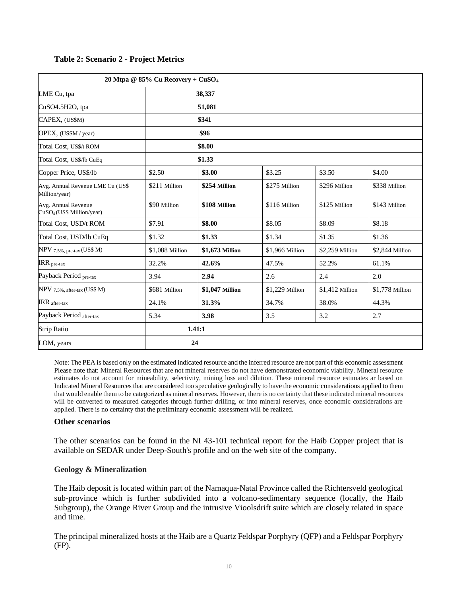|                                                              | 20 Mtpa @ 85% Cu Recovery + $CuSO4$ |                 |                 |                 |                 |  |  |
|--------------------------------------------------------------|-------------------------------------|-----------------|-----------------|-----------------|-----------------|--|--|
| LME Cu, tpa                                                  |                                     | 38,337          |                 |                 |                 |  |  |
| CuSO4.5H2O, tpa                                              |                                     | 51,081          |                 |                 |                 |  |  |
| CAPEX, (US\$M)                                               |                                     | \$341           |                 |                 |                 |  |  |
| OPEX, (US\$M / year)                                         |                                     | \$96            |                 |                 |                 |  |  |
| Total Cost, US\$/t ROM                                       |                                     | \$8.00          |                 |                 |                 |  |  |
| Total Cost, US\$/lb CuEq                                     | \$1.33                              |                 |                 |                 |                 |  |  |
| Copper Price, US\$/lb                                        | \$2.50                              | \$3.00          | \$3.25          | \$3.50          | \$4.00          |  |  |
| Avg. Annual Revenue LME Cu (US\$<br>Million/year)            | \$211 Million                       | \$254 Million   | \$275 Million   | \$296 Million   | \$338 Million   |  |  |
| Avg. Annual Revenue<br>CuSO <sub>4</sub> (US\$ Million/year) | \$90 Million                        | \$108 Million   | \$116 Million   | \$125 Million   | \$143 Million   |  |  |
| Total Cost, USD/t ROM                                        | \$7.91                              | \$8.00          | \$8.05          | \$8.09          | \$8.18          |  |  |
| Total Cost, USD/lb CuEq                                      | \$1.32                              | \$1.33          | \$1.34          | \$1.35          | \$1.36          |  |  |
| $NPV$ 7.5%, pre-tax (US\$ M)                                 | \$1,088 Million                     | \$1,673 Million | \$1,966 Million | \$2,259 Million | \$2,844 Million |  |  |
| $IRR_{pre}\xspace$                                           | 32.2%                               | 42.6%           | 47.5%           | 52.2%           | 61.1%           |  |  |
| Payback Period pre-tax                                       | 3.94                                | 2.94            | 2.6             | 2.4             | 2.0             |  |  |
| $NPV$ 7.5%, after-tax (US\$ M)                               | \$681 Million                       | \$1,047 Million | \$1,229 Million | \$1,412 Million | \$1,778 Million |  |  |
| $\text{IRR}_{\text{after-tax}}$                              | 24.1%                               | 31.3%           | 34.7%           | 38.0%           | 44.3%           |  |  |
| Payback Period after-tax                                     | 5.34                                | 3.98            | 3.5             | 3.2             | 2.7             |  |  |
| <b>Strip Ratio</b>                                           |                                     | 1.41:1          |                 |                 |                 |  |  |
| LOM, years                                                   |                                     | 24              |                 |                 |                 |  |  |

#### **Table 2: Scenario 2 - Project Metrics**

Note: The PEA is based only on the estimated indicated resource and the inferred resource are not part of this economic assessment Please note that: Mineral Resources that are not mineral reserves do not have demonstrated economic viability. Mineral resource estimates do not account for mineability, selectivity, mining loss and dilution. These mineral resource estimates ar based on Indicated Mineral Resources that are considered too speculative geologically to have the economic considerations applied to them that would enable them to be categorized as mineral reserves. However, there is no certainty that these indicated mineral resources will be converted to measured categories through further drilling, or into mineral reserves, once economic considerations are applied. There is no certainty that the preliminary economic assessment will be realized.

#### **Other scenarios**

The other scenarios can be found in the NI 43-101 technical report for the Haib Copper project that is available on SEDAR under Deep-South's profile and on the web site of the company.

## **Geology & Mineralization**

The Haib deposit is located within part of the Namaqua-Natal Province called the Richtersveld geological sub-province which is further subdivided into a volcano-sedimentary sequence (locally, the Haib Subgroup), the Orange River Group and the intrusive Vioolsdrift suite which are closely related in space and time.

The principal mineralized hosts at the Haib are a Quartz Feldspar Porphyry (QFP) and a Feldspar Porphyry (FP).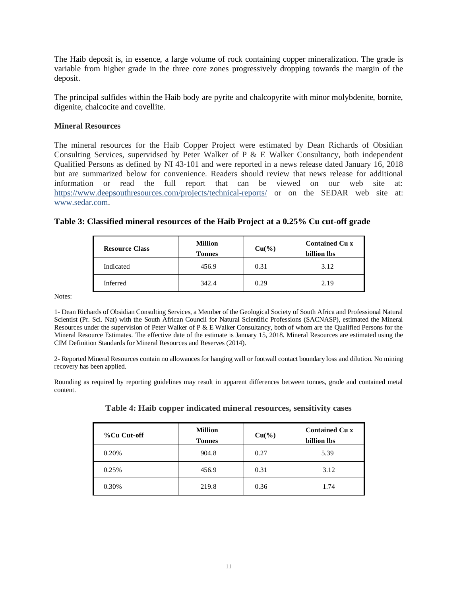The Haib deposit is, in essence, a large volume of rock containing copper mineralization. The grade is variable from higher grade in the three core zones progressively dropping towards the margin of the deposit.

The principal sulfides within the Haib body are pyrite and chalcopyrite with minor molybdenite, bornite, digenite, chalcocite and covellite.

#### **Mineral Resources**

The mineral resources for the Haib Copper Project were estimated by Dean Richards of Obsidian Consulting Services, supervidsed by Peter Walker of P  $\&$  E Walker Consultancy, both independent Qualified Persons as defined by NI 43-101 and were reported in a news release dated January 16, 2018 but are summarized below for convenience. Readers should review that news release for additional information or read the full report that can be viewed on our web site at: https://www.deepsouthresources.com/projects/technical-reports/ or on the SEDAR web site at: www.sedar.com.

| <b>Resource Class</b> | <b>Million</b><br><b>Tonnes</b> | $Cu(^{0}/_{0})$ | <b>Contained Cu x</b><br>billion lbs |
|-----------------------|---------------------------------|-----------------|--------------------------------------|
| Indicated             | 456.9                           | 0.31            | 3.12                                 |
| Inferred              | 342.4                           | 0.29            | 2.19                                 |

## **Table 3: Classified mineral resources of the Haib Project at a 0.25% Cu cut-off grade**

Notes:

1- Dean Richards of Obsidian Consulting Services, a Member of the Geological Society of South Africa and Professional Natural Scientist (Pr. Sci. Nat) with the South African Council for Natural Scientific Professions (SACNASP), estimated the Mineral Resources under the supervision of Peter Walker of P & E Walker Consultancy, both of whom are the Qualified Persons for the Mineral Resource Estimates. The effective date of the estimate is January 15, 2018. Mineral Resources are estimated using the CIM Definition Standards for Mineral Resources and Reserves (2014).

2- Reported Mineral Resources contain no allowances for hanging wall or footwall contact boundary loss and dilution. No mining recovery has been applied.

Rounding as required by reporting guidelines may result in apparent differences between tonnes, grade and contained metal content.

| Table 4: Haib copper indicated mineral resources, sensitivity cases |  |  |
|---------------------------------------------------------------------|--|--|
|                                                                     |  |  |

| %Cu Cut-off | <b>Million</b><br><b>Tonnes</b> | $Cu(^{9}/_{0})$ | <b>Contained Cu x</b><br>billion lbs |
|-------------|---------------------------------|-----------------|--------------------------------------|
| 0.20%       | 904.8                           | 0.27            | 5.39                                 |
| 0.25%       | 456.9                           | 0.31            | 3.12                                 |
| 0.30%       | 219.8                           | 0.36            | 1.74                                 |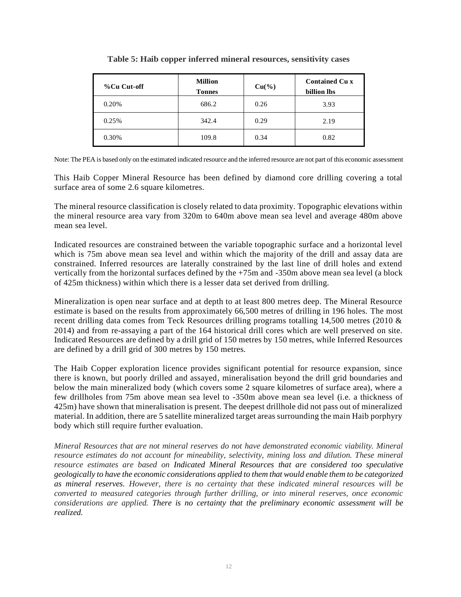| %Cu Cut-off | <b>Million</b><br><b>Tonnes</b> | $Cu(^{9}/_{0})$ | <b>Contained Cu x</b><br>billion lbs |
|-------------|---------------------------------|-----------------|--------------------------------------|
| 0.20%       | 686.2                           | 0.26            | 3.93                                 |
| 0.25%       | 342.4                           | 0.29            | 2.19                                 |
| 0.30%       | 109.8                           | 0.34            | 0.82                                 |

**Table 5: Haib copper inferred mineral resources, sensitivity cases**

Note: The PEA is based only on the estimated indicated resource and the inferred resource are not part of this economic assessment

This Haib Copper Mineral Resource has been defined by diamond core drilling covering a total surface area of some 2.6 square kilometres.

The mineral resource classification is closely related to data proximity. Topographic elevations within the mineral resource area vary from 320m to 640m above mean sea level and average 480m above mean sea level.

Indicated resources are constrained between the variable topographic surface and a horizontal level which is 75m above mean sea level and within which the majority of the drill and assay data are constrained. Inferred resources are laterally constrained by the last line of drill holes and extend vertically from the horizontal surfaces defined by the +75m and -350m above mean sea level (a block of 425m thickness) within which there is a lesser data set derived from drilling.

Mineralization is open near surface and at depth to at least 800 metres deep. The Mineral Resource estimate is based on the results from approximately 66,500 metres of drilling in 196 holes. The most recent drilling data comes from Teck Resources drilling programs totalling 14,500 metres (2010 & 2014) and from re-assaying a part of the 164 historical drill cores which are well preserved on site. Indicated Resources are defined by a drill grid of 150 metres by 150 metres, while Inferred Resources are defined by a drill grid of 300 metres by 150 metres.

The Haib Copper exploration licence provides significant potential for resource expansion, since there is known, but poorly drilled and assayed, mineralisation beyond the drill grid boundaries and below the main mineralized body (which covers some 2 square kilometres of surface area), where a few drillholes from 75m above mean sea level to -350m above mean sea level (i.e. a thickness of 425m) have shown that mineralisation is present. The deepest drillhole did not pass out of mineralized material. In addition, there are 5 satellite mineralized target areas surrounding the main Haib porphyry body which still require further evaluation.

*Mineral Resources that are not mineral reserves do not have demonstrated economic viability. Mineral resource estimates do not account for mineability, selectivity, mining loss and dilution. These mineral resource estimates are based on Indicated Mineral Resources that are considered too speculative geologically to have the economic considerations applied to them that would enable them to be categorized as mineral reserves. However, there is no certainty that these indicated mineral resources will be converted to measured categories through further drilling, or into mineral reserves, once economic considerations are applied. There is no certainty that the preliminary economic assessment will be realized.*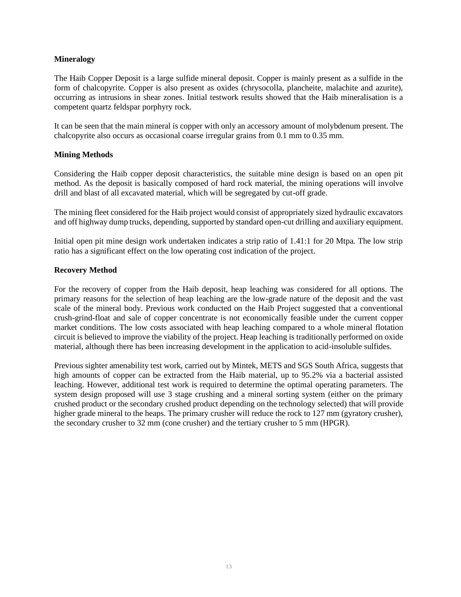## **Mineralogy**

The Haib Copper Deposit is a large sulfide mineral deposit. Copper is mainly present as a sulfide in the form of chalcopyrite. Copper is also present as oxides (chrysocolla, plancheite, malachite and azurite), occurring as intrusions in shear zones. Initial testwork results showed that the Haib mineralisation is a competent quartz feldspar porphyry rock.

It can be seen that the main mineral is copper with only an accessory amount of molybdenum present. The chalcopyrite also occurs as occasional coarse irregular grains from 0.1 mm to 0.35 mm.

## **Mining Methods**

Considering the Haib copper deposit characteristics, the suitable mine design is based on an open pit method. As the deposit is basically composed of hard rock material, the mining operations will involve drill and blast of all excavated material, which will be segregated by cut-off grade.

The mining fleet considered for the Haib project would consist of appropriately sized hydraulic excavators and off highway dump trucks, depending, supported by standard open-cut drilling and auxiliary equipment.

Initial open pit mine design work undertaken indicates a strip ratio of 1.41:1 for 20 Mtpa. The low strip ratio has a significant effect on the low operating cost indication of the project.

#### **Recovery Method**

For the recovery of copper from the Haib deposit, heap leaching was considered for all options. The primary reasons for the selection of heap leaching are the low-grade nature of the deposit and the vast scale of the mineral body. Previous work conducted on the Haib Project suggested that a conventional crush-grind-float and sale of copper concentrate is not economically feasible under the current copper market conditions. The low costs associated with heap leaching compared to a whole mineral flotation circuit is believed to improve the viability of the project. Heap leaching is traditionally performed on oxide material, although there has been increasing development in the application to acid-insoluble sulfides.

Previous sighter amenability test work, carried out by Mintek, METS and SGS South Africa, suggests that high amounts of copper can be extracted from the Haib material, up to 95.2% via a bacterial assisted leaching. However, additional test work is required to determine the optimal operating parameters. The system design proposed will use 3 stage crushing and a mineral sorting system (either on the primary crushed product or the secondary crushed product depending on the technology selected) that will provide higher grade mineral to the heaps. The primary crusher will reduce the rock to 127 mm (gyratory crusher), the secondary crusher to 32 mm (cone crusher) and the tertiary crusher to 5 mm (HPGR).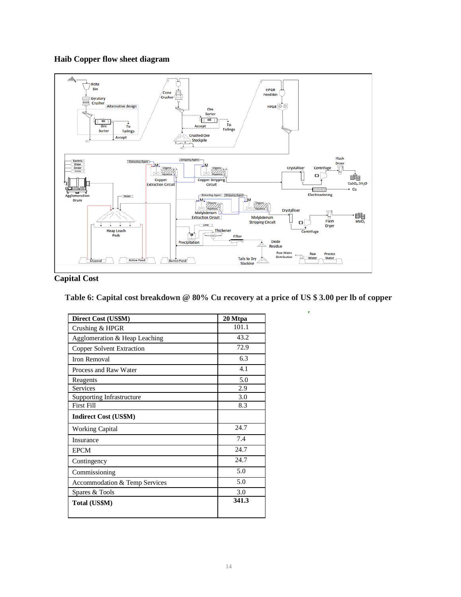# **Haib Copper flow sheet diagram**



# **Capital Cost**

**Table 6: Capital cost breakdown @ 80% Cu recovery at a price of US \$ 3.00 per lb of copper**

| Direct Cost (US\$M)           | 20 Mtpa |
|-------------------------------|---------|
| Crushing & HPGR               | 101.1   |
| Agglomeration & Heap Leaching | 43.2    |
| Copper Solvent Extraction     | 72.9    |
| Iron Removal                  | 6.3     |
| Process and Raw Water         | 4.1     |
| Reagents                      | 5.0     |
| <b>Services</b>               | 2.9     |
| Supporting Infrastructure     | 3.0     |
| <b>First Fill</b>             | 8.3     |
| <b>Indirect Cost (US\$M)</b>  |         |
| <b>Working Capital</b>        | 24.7    |
| Insurance                     | 7.4     |
| <b>EPCM</b>                   | 24.7    |
| Contingency                   | 24.7    |
| Commissioning                 | 5.0     |
| Accommodation & Temp Services | 5.0     |
| Spares & Tools                | 3.0     |
| Total (US\$M)                 | 341.3   |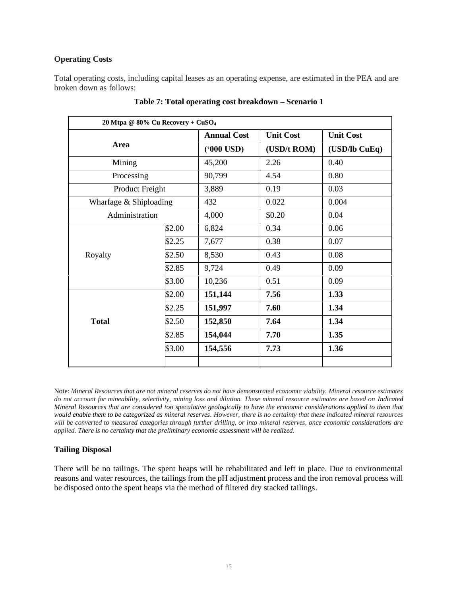## **Operating Costs**

Total operating costs, including capital leases as an operating expense, are estimated in the PEA and are broken down as follows:

| 20 Mtpa @ 80% Cu Recovery + CuSO <sub>4</sub> |        |                     |                  |                  |  |
|-----------------------------------------------|--------|---------------------|------------------|------------------|--|
|                                               |        | <b>Annual Cost</b>  | <b>Unit Cost</b> | <b>Unit Cost</b> |  |
| Area                                          |        | $(900 \text{ USD})$ | (USD/t ROM)      | $(USD1)$ CuEq)   |  |
| Mining                                        |        | 45,200              | 2.26             | 0.40             |  |
| Processing                                    |        | 90,799              | 4.54             | 0.80             |  |
| Product Freight                               |        | 3,889               | 0.19             | 0.03             |  |
| Wharfage & Shiploading                        |        | 432                 | 0.022            | 0.004            |  |
| Administration                                |        | 4,000               | \$0.20           | 0.04             |  |
|                                               | \$2.00 | 6,824               | 0.34             | 0.06             |  |
|                                               | \$2.25 | 7,677               | 0.38             | 0.07             |  |
| Royalty                                       | \$2.50 | 8,530               | 0.43             | 0.08             |  |
|                                               | \$2.85 | 9,724               | 0.49             | 0.09             |  |
|                                               | \$3.00 | 10,236              | 0.51             | 0.09             |  |
|                                               | \$2.00 | 151,144             | 7.56             | 1.33             |  |
|                                               | \$2.25 | 151,997             | 7.60             | 1.34             |  |
| <b>Total</b>                                  | \$2.50 | 152,850             | 7.64             | 1.34             |  |
|                                               | \$2.85 | 154,044             | 7.70             | 1.35             |  |
|                                               | \$3.00 | 154,556             | 7.73             | 1.36             |  |
|                                               |        |                     |                  |                  |  |

**Table 7: Total operating cost breakdown – Scenario 1**

Note: *Mineral Resources that are not mineral reserves do not have demonstrated economic viability. Mineral resource estimates do not account for mineability, selectivity, mining loss and dilution. These mineral resource estimates are based on Indicated Mineral Resources that are considered too speculative geologically to have the economic considerations applied to them that would enable them to be categorized as mineral reserves. However, there is no certainty that these indicated mineral resources will be converted to measured categories through further drilling, or into mineral reserves, once economic considerations are applied. There is no certainty that the preliminary economic assessment will be realized.*

# **Tailing Disposal**

There will be no tailings. The spent heaps will be rehabilitated and left in place. Due to environmental reasons and water resources, the tailings from the pH adjustment process and the iron removal process will be disposed onto the spent heaps via the method of filtered dry stacked tailings.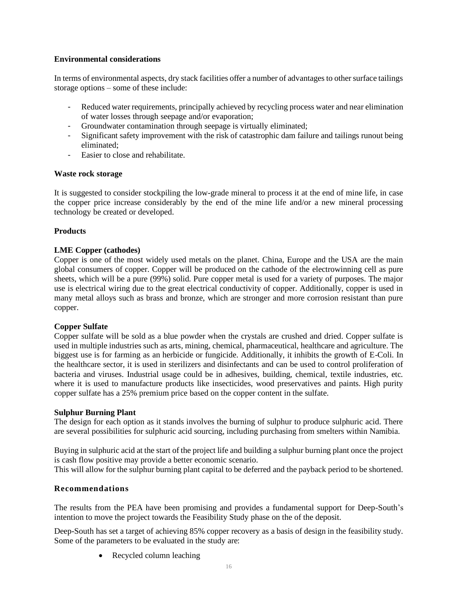## **Environmental considerations**

In terms of environmental aspects, dry stack facilities offer a number of advantages to other surface tailings storage options – some of these include:

- Reduced water requirements, principally achieved by recycling process water and near elimination of water losses through seepage and/or evaporation;
- Groundwater contamination through seepage is virtually eliminated;
- Significant safety improvement with the risk of catastrophic dam failure and tailings runout being eliminated;
- Easier to close and rehabilitate.

## **Waste rock storage**

It is suggested to consider stockpiling the low-grade mineral to process it at the end of mine life, in case the copper price increase considerably by the end of the mine life and/or a new mineral processing technology be created or developed.

## **Products**

## **LME Copper (cathodes)**

Copper is one of the most widely used metals on the planet. China, Europe and the USA are the main global consumers of copper. Copper will be produced on the cathode of the electrowinning cell as pure sheets, which will be a pure (99%) solid. Pure copper metal is used for a variety of purposes. The major use is electrical wiring due to the great electrical conductivity of copper. Additionally, copper is used in many metal alloys such as brass and bronze, which are stronger and more corrosion resistant than pure copper.

## **Copper Sulfate**

Copper sulfate will be sold as a blue powder when the crystals are crushed and dried. Copper sulfate is used in multiple industries such as arts, mining, chemical, pharmaceutical, healthcare and agriculture. The biggest use is for farming as an herbicide or fungicide. Additionally, it inhibits the growth of E-Coli. In the healthcare sector, it is used in sterilizers and disinfectants and can be used to control proliferation of bacteria and viruses. Industrial usage could be in adhesives, building, chemical, textile industries, etc. where it is used to manufacture products like insecticides, wood preservatives and paints. High purity copper sulfate has a 25% premium price based on the copper content in the sulfate.

#### **Sulphur Burning Plant**

The design for each option as it stands involves the burning of sulphur to produce sulphuric acid. There are several possibilities for sulphuric acid sourcing, including purchasing from smelters within Namibia.

Buying in sulphuric acid at the start of the project life and building a sulphur burning plant once the project is cash flow positive may provide a better economic scenario.

This will allow for the sulphur burning plant capital to be deferred and the payback period to be shortened.

## **Recommendations**

The results from the PEA have been promising and provides a fundamental support for Deep-South's intention to move the project towards the Feasibility Study phase on the of the deposit.

Deep-South has set a target of achieving 85% copper recovery as a basis of design in the feasibility study. Some of the parameters to be evaluated in the study are:

• Recycled column leaching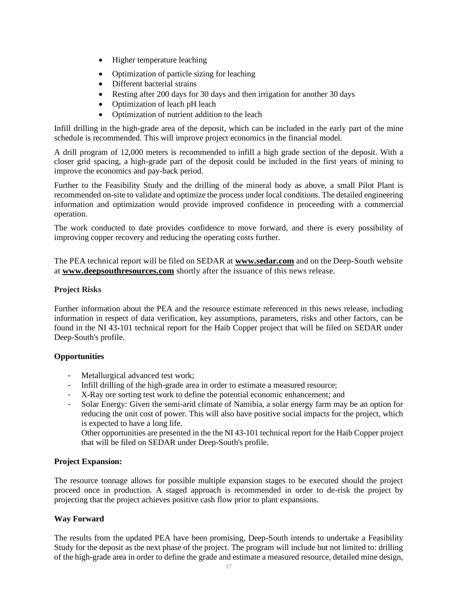- Higher temperature leaching
- Optimization of particle sizing for leaching
- Different bacterial strains
- Resting after 200 days for 30 days and then irrigation for another 30 days
- Optimization of leach pH leach
- Optimization of nutrient addition to the leach

Infill drilling in the high-grade area of the deposit, which can be included in the early part of the mine schedule is recommended. This will improve project economics in the financial model.

A drill program of 12,000 meters is recommended to infill a high grade section of the deposit. With a closer grid spacing, a high-grade part of the deposit could be included in the first years of mining to improve the economics and pay-back period.

Further to the Feasibility Study and the drilling of the mineral body as above, a small Pilot Plant is recommended on-site to validate and optimize the process under local conditions. The detailed engineering information and optimization would provide improved confidence in proceeding with a commercial operation.

The work conducted to date provides confidence to move forward, and there is every possibility of improving copper recovery and reducing the operating costs further.

The PEA technical report will be filed on SEDAR at **[www.sedar.com](http://www.sedar.com/)** and on the Deep-South website at **[www.deepsouthresources.com](http://www.ivanhoemines.com/)** shortly after the issuance of this news release.

## **Project Risks**

Further information about the PEA and the resource estimate referenced in this news release, including information in respect of data verification, key assumptions, parameters, risks and other factors, can be found in the NI 43-101 technical report for the Haib Copper project that will be filed on SEDAR under Deep-South's profile.

## **Opportunities**

- Metallurgical advanced test work;
- Infill drilling of the high-grade area in order to estimate a measured resource;
- X-Ray ore sorting test work to define the potential economic enhancement; and
- Solar Energy: Given the semi-arid climate of Namibia, a solar energy farm may be an option for reducing the unit cost of power. This will also have positive social impacts for the project, which is expected to have a long life.

Other opportunities are presented in the the NI 43-101 technical report for the Haib Copper project that will be filed on SEDAR under Deep-South's profile.

## **Project Expansion:**

The resource tonnage allows for possible multiple expansion stages to be executed should the project proceed once in production. A staged approach is recommended in order to de-risk the project by projecting that the project achieves positive cash flow prior to plant expansions.

## **Way Forward**

The results from the updated PEA have been promising, Deep-South intends to undertake a Feasibility Study for the deposit as the next phase of the project. The program will include but not limited to: drilling of the high-grade area in order to define the grade and estimate a measured resource, detailed mine design,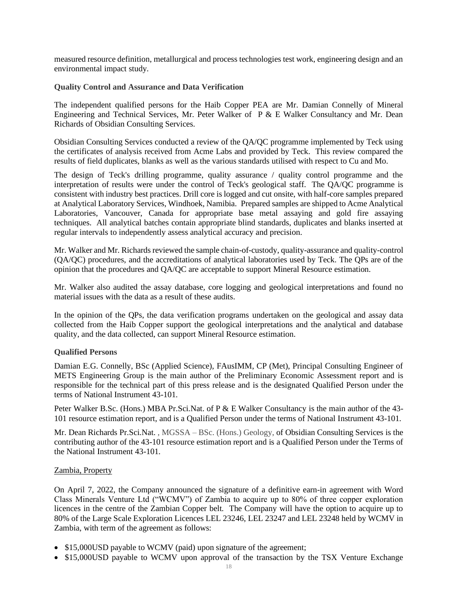measured resource definition, metallurgical and process technologies test work, engineering design and an environmental impact study.

**Quality Control and Assurance and Data Verification**

The independent qualified persons for the Haib Copper PEA are Mr. Damian Connelly of Mineral Engineering and Technical Services, Mr. Peter Walker of P & E Walker Consultancy and Mr. Dean Richards of Obsidian Consulting Services.

Obsidian Consulting Services conducted a review of the QA/QC programme implemented by Teck using the certificates of analysis received from Acme Labs and provided by Teck. This review compared the results of field duplicates, blanks as well as the various standards utilised with respect to Cu and Mo.

The design of Teck's drilling programme, quality assurance / quality control programme and the interpretation of results were under the control of Teck's geological staff. The QA/QC programme is consistent with industry best practices. Drill core is logged and cut onsite, with half-core samples prepared at Analytical Laboratory Services, Windhoek, Namibia. Prepared samples are shipped to Acme Analytical Laboratories, Vancouver, Canada for appropriate base metal assaying and gold fire assaying techniques. All analytical batches contain appropriate blind standards, duplicates and blanks inserted at regular intervals to independently assess analytical accuracy and precision.

Mr. Walker and Mr. Richards reviewed the sample chain-of-custody, quality-assurance and quality-control (QA/QC) procedures, and the accreditations of analytical laboratories used by Teck. The QPs are of the opinion that the procedures and QA/QC are acceptable to support Mineral Resource estimation.

Mr. Walker also audited the assay database, core logging and geological interpretations and found no material issues with the data as a result of these audits.

In the opinion of the QPs, the data verification programs undertaken on the geological and assay data collected from the Haib Copper support the geological interpretations and the analytical and database quality, and the data collected, can support Mineral Resource estimation.

## **Qualified Persons**

Damian E.G. Connelly, BSc (Applied Science), FAusIMM, CP (Met), Principal Consulting Engineer of METS Engineering Group is the main author of the Preliminary Economic Assessment report and is responsible for the technical part of this press release and is the designated Qualified Person under the terms of National Instrument 43-101.

Peter Walker B.Sc. (Hons.) MBA Pr.Sci.Nat. of P & E Walker Consultancy is the main author of the 43- 101 resource estimation report, and is a Qualified Person under the terms of National Instrument 43-101.

Mr. Dean Richards Pr.Sci.Nat. , MGSSA – BSc. (Hons.) Geology, of Obsidian Consulting Services is the contributing author of the 43-101 resource estimation report and is a Qualified Person under the Terms of the National Instrument 43-101.

#### Zambia, Property

On April 7, 2022, the Company announced the signature of a definitive earn-in agreement with Word Class Minerals Venture Ltd ("WCMV") of Zambia to acquire up to 80% of three copper exploration licences in the centre of the Zambian Copper belt. The Company will have the option to acquire up to 80% of the Large Scale Exploration Licences LEL 23246, LEL 23247 and LEL 23248 held by WCMV in Zambia, with term of the agreement as follows:

- \$15,000USD payable to WCMV (paid) upon signature of the agreement;
- \$15,000USD payable to WCMV upon approval of the transaction by the TSX Venture Exchange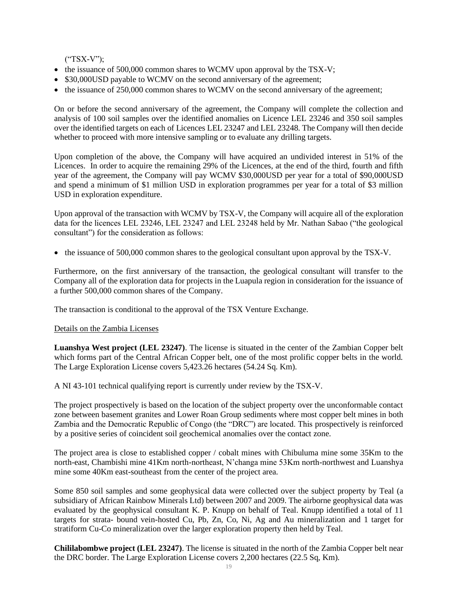("TSX-V");

- the issuance of 500,000 common shares to WCMV upon approval by the TSX-V;
- \$30,000USD payable to WCMV on the second anniversary of the agreement;
- the issuance of 250,000 common shares to WCMV on the second anniversary of the agreement;

On or before the second anniversary of the agreement, the Company will complete the collection and analysis of 100 soil samples over the identified anomalies on Licence LEL 23246 and 350 soil samples over the identified targets on each of Licences LEL 23247 and LEL 23248. The Company will then decide whether to proceed with more intensive sampling or to evaluate any drilling targets.

Upon completion of the above, the Company will have acquired an undivided interest in 51% of the Licences. In order to acquire the remaining 29% of the Licences, at the end of the third, fourth and fifth year of the agreement, the Company will pay WCMV \$30,000USD per year for a total of \$90,000USD and spend a minimum of \$1 million USD in exploration programmes per year for a total of \$3 million USD in exploration expenditure.

Upon approval of the transaction with WCMV by TSX-V, the Company will acquire all of the exploration data for the licences LEL 23246, LEL 23247 and LEL 23248 held by Mr. Nathan Sabao ("the geological consultant") for the consideration as follows:

• the issuance of 500,000 common shares to the geological consultant upon approval by the TSX-V.

Furthermore, on the first anniversary of the transaction, the geological consultant will transfer to the Company all of the exploration data for projects in the Luapula region in consideration for the issuance of a further 500,000 common shares of the Company.

The transaction is conditional to the approval of the TSX Venture Exchange.

## Details on the Zambia Licenses

**Luanshya West project (LEL 23247)**. The license is situated in the center of the Zambian Copper belt which forms part of the Central African Copper belt, one of the most prolific copper belts in the world. The Large Exploration License covers 5,423.26 hectares (54.24 Sq. Km).

A NI 43-101 technical qualifying report is currently under review by the TSX-V.

The project prospectively is based on the location of the subject property over the unconformable contact zone between basement granites and Lower Roan Group sediments where most copper belt mines in both Zambia and the Democratic Republic of Congo (the "DRC") are located. This prospectively is reinforced by a positive series of coincident soil geochemical anomalies over the contact zone.

The project area is close to established copper / cobalt mines with Chibuluma mine some 35Km to the north-east, Chambishi mine 41Km north-northeast, N'changa mine 53Km north-northwest and Luanshya mine some 40Km east-southeast from the center of the project area.

Some 850 soil samples and some geophysical data were collected over the subject property by Teal (a subsidiary of African Rainbow Minerals Ltd) between 2007 and 2009. The airborne geophysical data was evaluated by the geophysical consultant K. P. Knupp on behalf of Teal. Knupp identified a total of 11 targets for strata- bound vein-hosted Cu, Pb, Zn, Co, Ni, Ag and Au mineralization and 1 target for stratiform Cu-Co mineralization over the larger exploration property then held by Teal.

**Chililabombwe project (LEL 23247)**. The license is situated in the north of the Zambia Copper belt near the DRC border. The Large Exploration License covers 2,200 hectares (22.5 Sq, Km).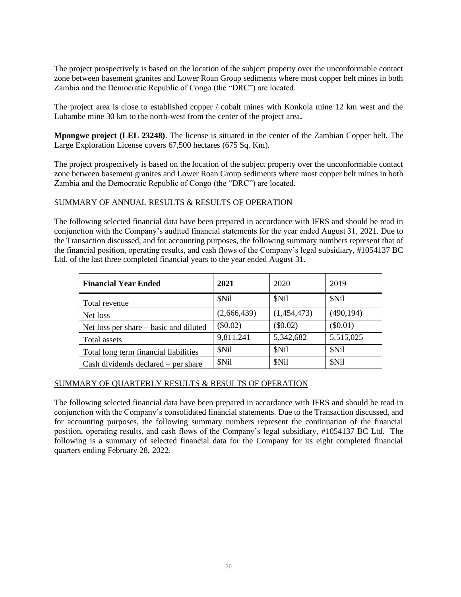The project prospectively is based on the location of the subject property over the unconformable contact zone between basement granites and Lower Roan Group sediments where most copper belt mines in both Zambia and the Democratic Republic of Congo (the "DRC") are located.

The project area is close to established copper / cobalt mines with Konkola mine 12 km west and the Lubambe mine 30 km to the north-west from the center of the project area**.**

**Mpongwe project (LEL 23248)**. The license is situated in the center of the Zambian Copper belt. The Large Exploration License covers 67,500 hectares (675 Sq. Km).

The project prospectively is based on the location of the subject property over the unconformable contact zone between basement granites and Lower Roan Group sediments where most copper belt mines in both Zambia and the Democratic Republic of Congo (the "DRC") are located.

## SUMMARY OF ANNUAL RESULTS & RESULTS OF OPERATION

The following selected financial data have been prepared in accordance with IFRS and should be read in conjunction with the Company's audited financial statements for the year ended August 31, 2021. Due to the Transaction discussed, and for accounting purposes, the following summary numbers represent that of the financial position, operating results, and cash flows of the Company's legal subsidiary, #1054137 BC Ltd. of the last three completed financial years to the year ended August 31.

| <b>Financial Year Ended</b>            | 2021        | 2020        | 2019       |
|----------------------------------------|-------------|-------------|------------|
| Total revenue                          | \$Nil       | \$Nil       | \$Nil      |
| Net loss                               | (2,666,439) | (1,454,473) | (490, 194) |
| Net loss per share – basic and diluted | (\$0.02)    | (\$0.02)    | $(\$0.01)$ |
| Total assets                           | 9,811,241   | 5,342,682   | 5,515,025  |
| Total long term financial liabilities  | \$Nil       | \$Nil       | \$Nil      |
| Cash dividends declared $-$ per share  | \$Nil       | \$Nil       | \$Nil      |

#### SUMMARY OF QUARTERLY RESULTS & RESULTS OF OPERATION

The following selected financial data have been prepared in accordance with IFRS and should be read in conjunction with the Company's consolidated financial statements. Due to the Transaction discussed, and for accounting purposes, the following summary numbers represent the continuation of the financial position, operating results, and cash flows of the Company's legal subsidiary, #1054137 BC Ltd. The following is a summary of selected financial data for the Company for its eight completed financial quarters ending February 28, 2022.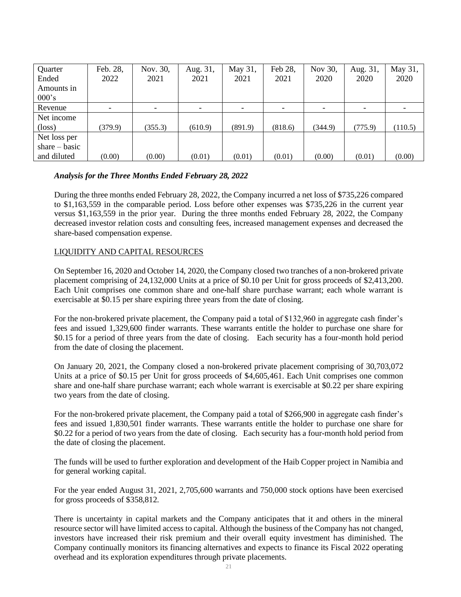| Quarter         | Feb. 28,                 | Nov. 30, | Aug. 31, | May 31, | Feb 28, | Nov 30, | Aug. 31, | May 31, |
|-----------------|--------------------------|----------|----------|---------|---------|---------|----------|---------|
| Ended           | 2022                     | 2021     | 2021     | 2021    | 2021    | 2020    | 2020     | 2020    |
| Amounts in      |                          |          |          |         |         |         |          |         |
| 000's           |                          |          |          |         |         |         |          |         |
| Revenue         | $\overline{\phantom{a}}$ |          |          |         |         |         |          |         |
| Net income      |                          |          |          |         |         |         |          |         |
| $(\text{loss})$ | (379.9)                  | (355.3)  | (610.9)  | (891.9) | (818.6) | (344.9) | (775.9)  | (110.5) |
| Net loss per    |                          |          |          |         |         |         |          |         |
| share $-$ basic |                          |          |          |         |         |         |          |         |
| and diluted     | (0.00)                   | (0.00)   | (0.01)   | (0.01)  | (0.01)  | (0.00)  | (0.01)   | (0.00)  |

## *Analysis for the Three Months Ended February 28, 2022*

During the three months ended February 28, 2022, the Company incurred a net loss of \$735,226 compared to \$1,163,559 in the comparable period. Loss before other expenses was \$735,226 in the current year versus \$1,163,559 in the prior year. During the three months ended February 28, 2022, the Company decreased investor relation costs and consulting fees, increased management expenses and decreased the share-based compensation expense.

## LIQUIDITY AND CAPITAL RESOURCES

On September 16, 2020 and October 14, 2020, the Company closed two tranches of a non-brokered private placement comprising of 24,132,000 Units at a price of \$0.10 per Unit for gross proceeds of \$2,413,200. Each Unit comprises one common share and one-half share purchase warrant; each whole warrant is exercisable at \$0.15 per share expiring three years from the date of closing.

For the non-brokered private placement, the Company paid a total of \$132,960 in aggregate cash finder's fees and issued 1,329,600 finder warrants. These warrants entitle the holder to purchase one share for \$0.15 for a period of three years from the date of closing. Each security has a four-month hold period from the date of closing the placement.

On January 20, 2021, the Company closed a non-brokered private placement comprising of 30,703,072 Units at a price of \$0.15 per Unit for gross proceeds of \$4,605,461. Each Unit comprises one common share and one-half share purchase warrant; each whole warrant is exercisable at \$0.22 per share expiring two years from the date of closing.

For the non-brokered private placement, the Company paid a total of \$266,900 in aggregate cash finder's fees and issued 1,830,501 finder warrants. These warrants entitle the holder to purchase one share for \$0.22 for a period of two years from the date of closing. Each security has a four-month hold period from the date of closing the placement.

The funds will be used to further exploration and development of the Haib Copper project in Namibia and for general working capital.

For the year ended August 31, 2021, 2,705,600 warrants and 750,000 stock options have been exercised for gross proceeds of \$358,812.

There is uncertainty in capital markets and the Company anticipates that it and others in the mineral resource sector will have limited access to capital. Although the business of the Company has not changed, investors have increased their risk premium and their overall equity investment has diminished. The Company continually monitors its financing alternatives and expects to finance its Fiscal 2022 operating overhead and its exploration expenditures through private placements.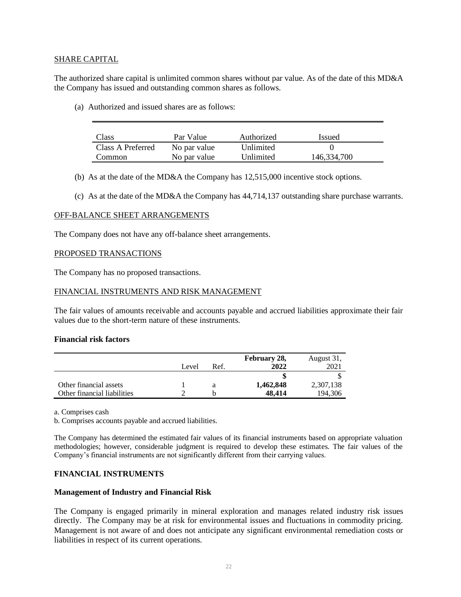#### SHARE CAPITAL

The authorized share capital is unlimited common shares without par value. As of the date of this MD&A the Company has issued and outstanding common shares as follows.

(a) Authorized and issued shares are as follows:

| Class             | Par Value    | Authorized | <i>Issued</i> |
|-------------------|--------------|------------|---------------|
| Class A Preferred | No par value | Unlimited  |               |
| Common            | No par value | Unlimited  | 146,334,700   |

- (b) As at the date of the MD&A the Company has 12,515,000 incentive stock options.
- (c) As at the date of the MD&A the Company has 44,714,137 outstanding share purchase warrants.

#### OFF-BALANCE SHEET ARRANGEMENTS

The Company does not have any off-balance sheet arrangements.

## PROPOSED TRANSACTIONS

The Company has no proposed transactions.

#### FINANCIAL INSTRUMENTS AND RISK MANAGEMENT

The fair values of amounts receivable and accounts payable and accrued liabilities approximate their fair values due to the short-term nature of these instruments.

#### **Financial risk factors**

|                             |       |      | February 28, | August 31, |
|-----------------------------|-------|------|--------------|------------|
|                             | Level | Ref. | 2022         | 2021       |
|                             |       |      |              |            |
| Other financial assets      |       |      | 1,462,848    | 2,307,138  |
| Other financial liabilities |       |      | 48.414       | 194,306    |

a. Comprises cash

b. Comprises accounts payable and accrued liabilities.

The Company has determined the estimated fair values of its financial instruments based on appropriate valuation methodologies; however, considerable judgment is required to develop these estimates. The fair values of the Company's financial instruments are not significantly different from their carrying values.

#### **FINANCIAL INSTRUMENTS**

#### **Management of Industry and Financial Risk**

The Company is engaged primarily in mineral exploration and manages related industry risk issues directly. The Company may be at risk for environmental issues and fluctuations in commodity pricing. Management is not aware of and does not anticipate any significant environmental remediation costs or liabilities in respect of its current operations.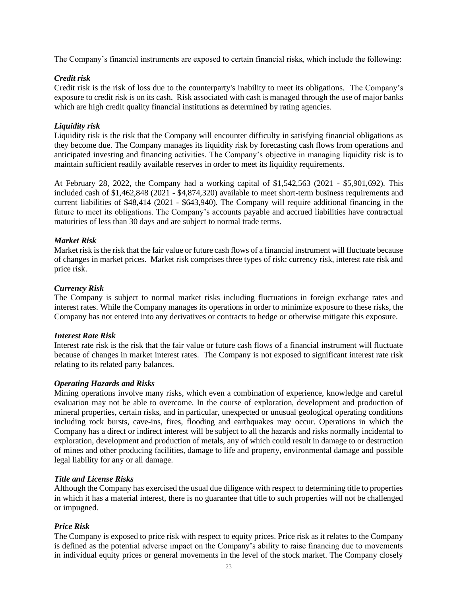The Company's financial instruments are exposed to certain financial risks, which include the following:

## *Credit risk*

Credit risk is the risk of loss due to the counterparty's inability to meet its obligations. The Company's exposure to credit risk is on its cash. Risk associated with cash is managed through the use of major banks which are high credit quality financial institutions as determined by rating agencies.

#### *Liquidity risk*

Liquidity risk is the risk that the Company will encounter difficulty in satisfying financial obligations as they become due. The Company manages its liquidity risk by forecasting cash flows from operations and anticipated investing and financing activities. The Company's objective in managing liquidity risk is to maintain sufficient readily available reserves in order to meet its liquidity requirements.

At February 28, 2022, the Company had a working capital of \$1,542,563 (2021 - \$5,901,692). This included cash of \$1,462,848 (2021 - \$4,874,320) available to meet short-term business requirements and current liabilities of \$48,414 (2021 - \$643,940). The Company will require additional financing in the future to meet its obligations. The Company's accounts payable and accrued liabilities have contractual maturities of less than 30 days and are subject to normal trade terms.

## *Market Risk*

Market risk is the risk that the fair value or future cash flows of a financial instrument will fluctuate because of changes in market prices. Market risk comprises three types of risk: currency risk, interest rate risk and price risk.

#### *Currency Risk*

The Company is subject to normal market risks including fluctuations in foreign exchange rates and interest rates. While the Company manages its operations in order to minimize exposure to these risks, the Company has not entered into any derivatives or contracts to hedge or otherwise mitigate this exposure.

#### *Interest Rate Risk*

Interest rate risk is the risk that the fair value or future cash flows of a financial instrument will fluctuate because of changes in market interest rates. The Company is not exposed to significant interest rate risk relating to its related party balances.

#### *Operating Hazards and Risks*

Mining operations involve many risks, which even a combination of experience, knowledge and careful evaluation may not be able to overcome. In the course of exploration, development and production of mineral properties, certain risks, and in particular, unexpected or unusual geological operating conditions including rock bursts, cave-ins, fires, flooding and earthquakes may occur. Operations in which the Company has a direct or indirect interest will be subject to all the hazards and risks normally incidental to exploration, development and production of metals, any of which could result in damage to or destruction of mines and other producing facilities, damage to life and property, environmental damage and possible legal liability for any or all damage.

#### *Title and License Risks*

Although the Company has exercised the usual due diligence with respect to determining title to properties in which it has a material interest, there is no guarantee that title to such properties will not be challenged or impugned.

## *Price Risk*

The Company is exposed to price risk with respect to equity prices. Price risk as it relates to the Company is defined as the potential adverse impact on the Company's ability to raise financing due to movements in individual equity prices or general movements in the level of the stock market. The Company closely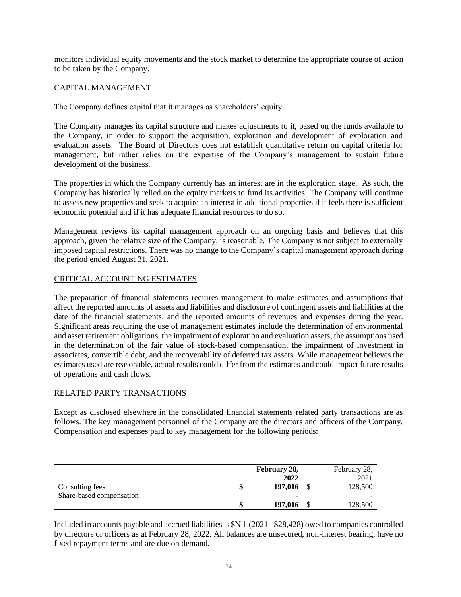monitors individual equity movements and the stock market to determine the appropriate course of action to be taken by the Company.

## CAPITAL MANAGEMENT

The Company defines capital that it manages as shareholders' equity.

The Company manages its capital structure and makes adjustments to it, based on the funds available to the Company, in order to support the acquisition, exploration and development of exploration and evaluation assets. The Board of Directors does not establish quantitative return on capital criteria for management, but rather relies on the expertise of the Company's management to sustain future development of the business.

The properties in which the Company currently has an interest are in the exploration stage. As such, the Company has historically relied on the equity markets to fund its activities. The Company will continue to assess new properties and seek to acquire an interest in additional properties if it feels there is sufficient economic potential and if it has adequate financial resources to do so.

Management reviews its capital management approach on an ongoing basis and believes that this approach, given the relative size of the Company, is reasonable. The Company is not subject to externally imposed capital restrictions. There was no change to the Company's capital management approach during the period ended August 31, 2021.

## CRITICAL ACCOUNTING ESTIMATES

The preparation of financial statements requires management to make estimates and assumptions that affect the reported amounts of assets and liabilities and disclosure of contingent assets and liabilities at the date of the financial statements, and the reported amounts of revenues and expenses during the year. Significant areas requiring the use of management estimates include the determination of environmental and asset retirement obligations, the impairment of exploration and evaluation assets, the assumptions used in the determination of the fair value of stock-based compensation, the impairment of investment in associates, convertible debt, and the recoverability of deferred tax assets. While management believes the estimates used are reasonable, actual results could differ from the estimates and could impact future results of operations and cash flows.

## RELATED PARTY TRANSACTIONS

Except as disclosed elsewhere in the consolidated financial statements related party transactions are as follows. The key management personnel of the Company are the directors and officers of the Company. Compensation and expenses paid to key management for the following periods:

|                          | February 28,<br>2022 | February 28,<br>2021 |
|--------------------------|----------------------|----------------------|
| Consulting fees          | 197,016              | 128,500              |
| Share-based compensation |                      |                      |
|                          | 197,016              | 128,500              |

Included in accounts payable and accrued liabilities is \$Nil (2021 - \$28,428) owed to companies controlled by directors or officers as at February 28, 2022. All balances are unsecured, non-interest bearing, have no fixed repayment terms and are due on demand.